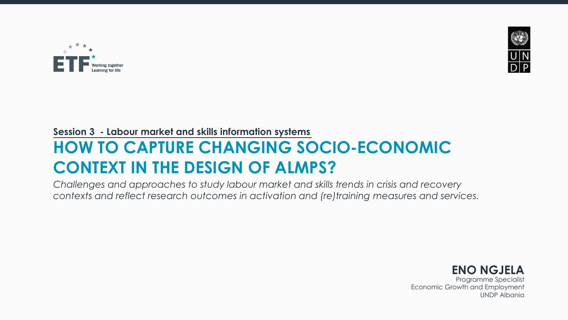



## **Session 3 - Labour market and skills information systems**

# **HOW TO CAPTURE CHANGING SOCIO-ECONOMIC CONTEXT IN THE DESIGN OF ALMPS?**

*Challenges and approaches to study labour market and skills trends in crisis and recovery contexts and reflect research outcomes in activation and (re)training measures and services.*



Programme Specialist Economic Growth and Employment UNDP Albania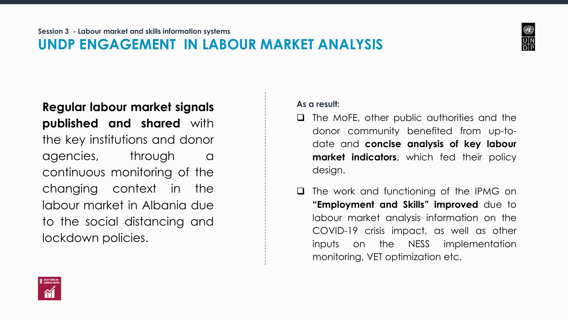# **UNDP ENGAGEMENT IN LABOUR MARKET ANALYSIS**



**Regular labour market signals published and shared** with the key institutions and donor agencies, through a continuous monitoring of the changing context in the labour market in Albania due to the social distancing and lockdown policies.

#### **As a result:**

- ❑ The MoFE, other public authorities and the donor community benefited from up-todate and **concise analysis of key labour market indicators**, which fed their policy design.
- ❑ The work and functioning of the IPMG on **"Employment and Skills" improved** due to labour market analysis information on the COVID-19 crisis impact, as well as other inputs on the NESS implementation monitoring, VET optimization etc.

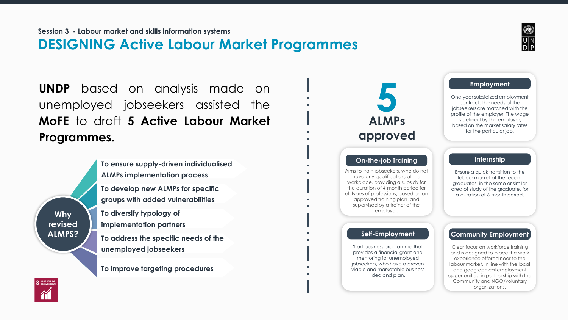# **DESIGNING Active Labour Market Programmes**

**UNDP** based on analysis made on unemployed jobseekers assisted the **MoFE** to draft **5 Active Labour Market Programmes.**

> **To ensure supply-driven individualised ALMPs implementation process**

**To develop new ALMPs for specific groups with added vulnerabilities**

**To diversify typology of implementation partners To address the specific needs of the unemployed jobseekers**

**To improve targeting procedures**





**Why revised ALMPS?**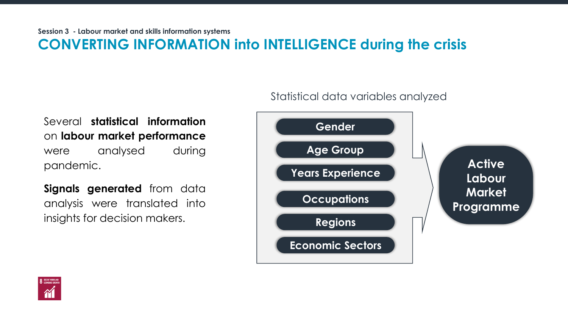Several **statistical information** on **labour market performance** were analysed during pandemic.

**Signals generated** from data analysis were translated into insights for decision makers.

Statistical data variables analyzed



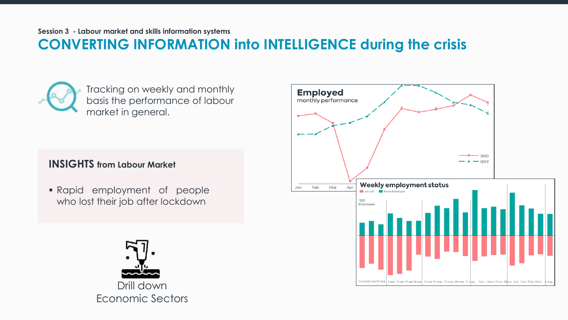Tracking on weekly and monthly basis the performance of labour market in general.

#### **INSIGHTS from Labour Market**

▪ Rapid employment of people who lost their job after lockdown



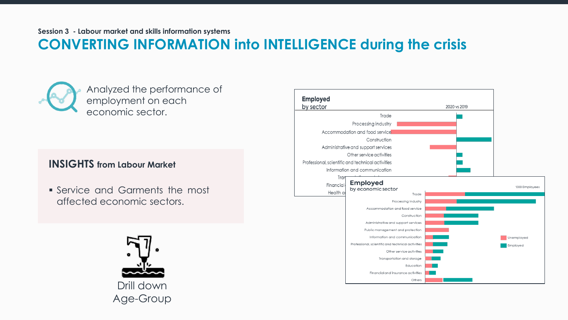**Session 3 - Labour market and skills information systems**

# **CONVERTING INFORMATION into INTELLIGENCE during the crisis**



Analyzed the performance of employment on each economic sector.

#### **INSIGHTS from Labour Market**

• Service and Garments the most affected economic sectors.



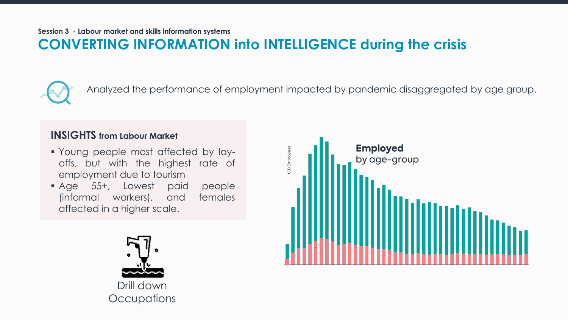

Analyzed the performance of employment impacted by pandemic disaggregated by age group.

#### **INSIGHTS from Labour Market**

- Young people most affected by layoffs, but with the highest rate of employment due to tourism
- Age 55+, Lowest paid people (informal workers), and females affected in a higher scale.



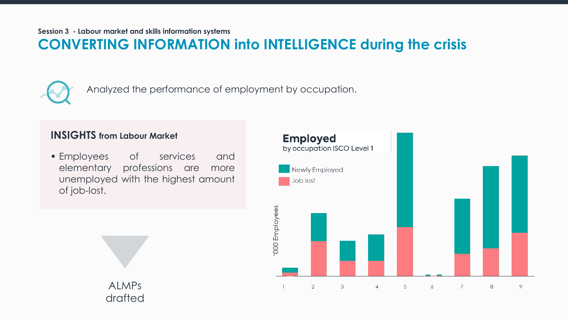

Analyzed the performance of employment by occupation.

#### **INSIGHTS from Labour Market**

ALMPs

drafted

**Employees** of services and elementary professions are more unemployed with the highest amount of job-lost.

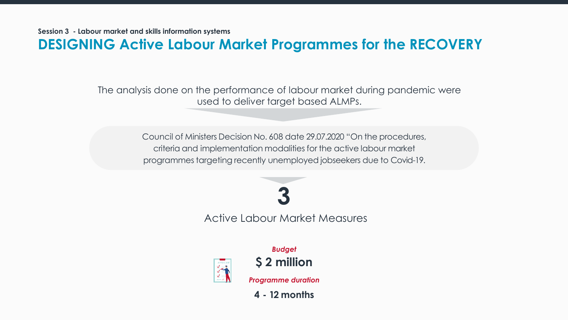**Session 3 - Labour market and skills information systems**

**DESIGNING Active Labour Market Programmes for the RECOVERY**

The analysis done on the performance of labour market during pandemic were used to deliver target based ALMPs.

> Council of Ministers Decision No. 608 date 29.07.2020 "On the procedures, criteria and implementation modalities for the active labour market programmes targeting recently unemployed jobseekers due to Covid-19.

> > Active Labour Market Measures **3**

**\$ 2 million** *Programme duration*

*Budget*

**4 - 12 months**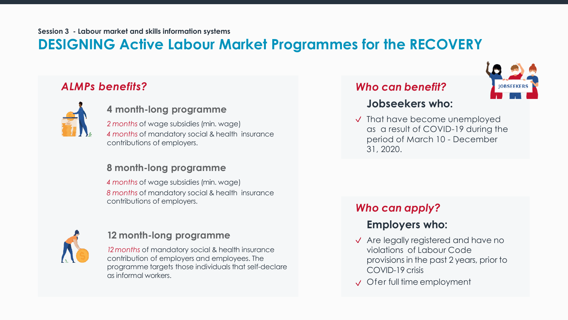# **DESIGNING Active Labour Market Programmes for the RECOVERY**

## *ALMPs benefits?*



#### **4 month-long programme**

*2 months* of wage subsidies (min. wage) *4 months* of mandatory social & health insurance contributions of employers.

#### **8 month-long programme**

*4 months* of wage subsidies (min. wage) *8 months* of mandatory social & health insurance contributions of employers.



#### **12 month-long programme**

*12months* of mandatory social & health insurance contribution of employers and employees. The programme targets those individuals that self-declare as informal workers.

#### *Who can benefit?*



#### **Jobseekers who:**

 $\sqrt{\ }$  That have become unemployed as a result of COVID-19 during the period of March 10 - December 31, 2020.

#### *Who can apply?*

## **Employers who:**

- $\sqrt{\ }$  Are legally registered and have no violations of Labour Code provisions in the past 2 years, prior to COVID-19 crisis
- **√** Ofer full time employment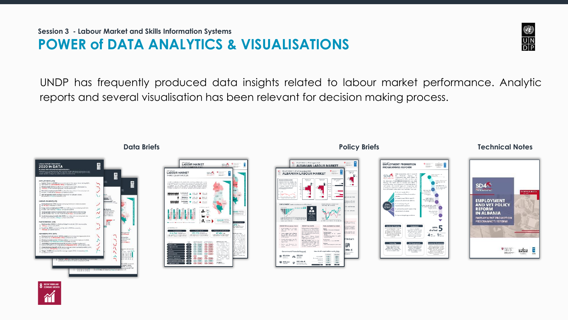UNDP has frequently produced data insights related to labour market performance. Analytic reports and several visualisation has been relevant for decision making process.





#### ALBANIAN LABOUR MARKET **POLICY BILEF 7. 6º of November 2000**<br>ALBANIAN LABOUR MARKET  $\begin{array}{c}\n\bullet \\
\bullet \\
35,000 \\
\hline\n\end{array}$ North ampliant and of passed<br>when their times (site with<br>restriction hoorst pompte must affinder<br>by Trycolly, but with the<br>Highest rists of employment DATE MIn  $6$ 300 188

 $\frac{1}{2}$ 

## **EMPLOYMENT PROMOTION**  $\bullet$   $\bullet$   $\bullet$ **PROGRAMMES REFORM**  $EPPs$  5  $4 - 1 -$ .<br>Community Employment erosa hanal parla.<br>włoże te augliori

#### **Data Briefs Policy Briefs Technical Notes**

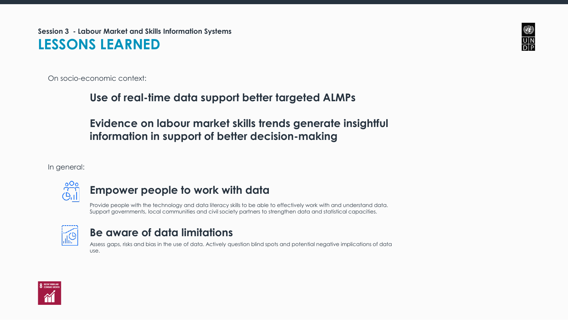**Session 3 - Labour Market and Skills Information Systems LESSONS LEARNED**

On socio-economic context:

### **Use of real-time data support better targeted ALMPs**

**Evidence on labour market skills trends generate insightful information in support of better decision-making**

In general:



#### **Empower people to work with data**

Provide people with the technology and data literacy skills to be able to effectively work with and understand data. Support governments, local communities and civil society partners to strengthen data and statistical capacities.



#### **Be aware of data limitations**

Assess gaps, risks and bias in the use of data. Actively question blind spots and potential negative implications of data use.



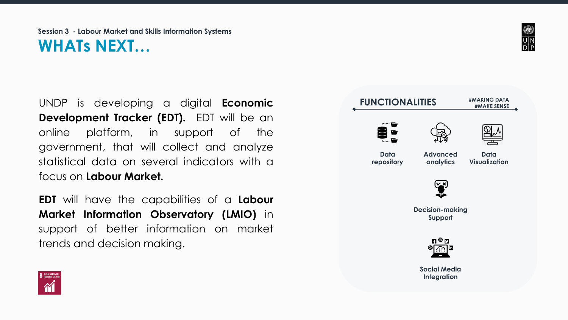## **Session 3 - Labour Market and Skills Information Systems WHATs NEXT…**

UNDP is developing a digital **Economic Development Tracker (EDT).** EDT will be an online platform, in support of the government, that will collect and analyze statistical data on several indicators with a focus on **Labour Market.**

**EDT** will have the capabilities of a **Labour Market Information Observatory (LMIO)** in support of better information on market trends and decision making.